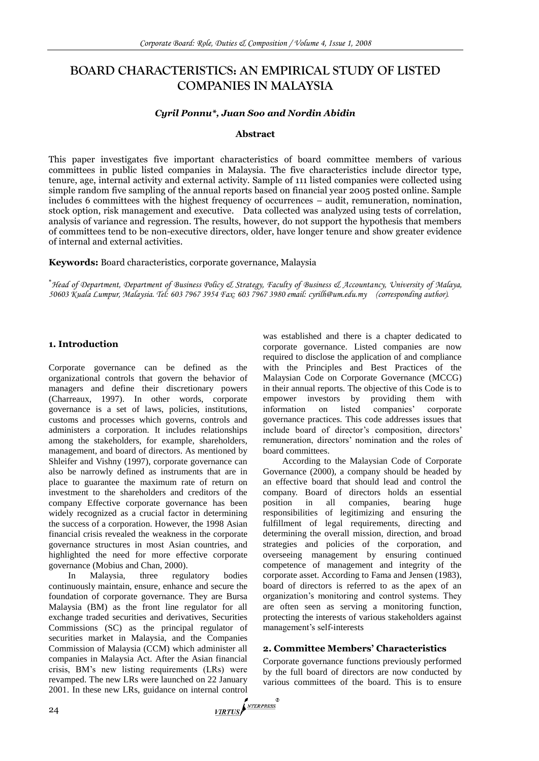# **BOARD CHARACTERISTICS: AN EMPIRICAL STUDY OF LISTED COMPANIES IN MALAYSIA**

## *Cyril Ponnu\*, Juan Soo and Nordin Abidin*

#### **Abstract**

This paper investigates five important characteristics of board committee members of various committees in public listed companies in Malaysia. The five characteristics include director type, tenure, age, internal activity and external activity. Sample of 111 listed companies were collected using simple random five sampling of the annual reports based on financial year 2005 posted online. Sample includes 6 committees with the highest frequency of occurrences – audit, remuneration, nomination, stock option, risk management and executive. Data collected was analyzed using tests of correlation, analysis of variance and regression. The results, however, do not support the hypothesis that members of committees tend to be non-executive directors, older, have longer tenure and show greater evidence of internal and external activities.

**Keywords:** Board characteristics, corporate governance, Malaysia

*Head of Department, Department of Business Policy & Strategy, Faculty of Business & Accountancy, University of Malaya, 50603 Kuala Lumpur, Malaysia. Tel: 603 7967 3954 Fax: 603 7967 3980 email[: cyrilh@um.edu.my](mailto:cyrilh@um.edu.my) (corresponding author).*

## **1. Introduction**

Corporate governance can be defined as the organizational controls that govern the behavior of managers and define their discretionary powers (Charreaux, 1997). In other words, corporate governance is a set of laws, policies, institutions, customs and processes which governs, controls and administers a corporation. It includes relationships among the stakeholders, for example, shareholders, management, and board of directors. As mentioned by Shleifer and Vishny (1997), corporate governance can also be narrowly defined as instruments that are in place to guarantee the maximum rate of return on investment to the shareholders and creditors of the company Effective corporate governance has been widely recognized as a crucial factor in determining the success of a corporation. However, the 1998 Asian financial crisis revealed the weakness in the corporate governance structures in most Asian countries, and highlighted the need for more effective corporate governance (Mobius and Chan, 2000).

In Malaysia, three regulatory bodies continuously maintain, ensure, enhance and secure the foundation of corporate governance. They are Bursa Malaysia (BM) as the front line regulator for all exchange traded securities and derivatives, Securities Commissions (SC) as the principal regulator of securities market in Malaysia, and the Companies Commission of Malaysia (CCM) which administer all companies in Malaysia Act. After the Asian financial crisis, BM's new listing requirements (LRs) were revamped. The new LRs were launched on 22 January 2001. In these new LRs, guidance on internal control<br>24

was established and there is a chapter dedicated to corporate governance. Listed companies are now required to disclose the application of and compliance with the Principles and Best Practices of the Malaysian Code on Corporate Governance (MCCG) in their annual reports. The objective of this Code is to empower investors by providing them with information on listed companies' corporate governance practices. This code addresses issues that include board of director's composition, directors' remuneration, directors' nomination and the roles of board committees.

According to the Malaysian Code of Corporate Governance (2000), a company should be headed by an effective board that should lead and control the company. Board of directors holds an essential position in all companies, bearing huge responsibilities of legitimizing and ensuring the fulfillment of legal requirements, directing and determining the overall mission, direction, and broad strategies and policies of the corporation, and overseeing management by ensuring continued competence of management and integrity of the corporate asset. According to Fama and Jensen (1983), board of directors is referred to as the apex of an organization's monitoring and control systems. They are often seen as serving a monitoring function, protecting the interests of various stakeholders against management's self-interests

# **2. Committee Members' Characteristics**

Corporate governance functions previously performed by the full board of directors are now conducted by various committees of the board. This is to ensure

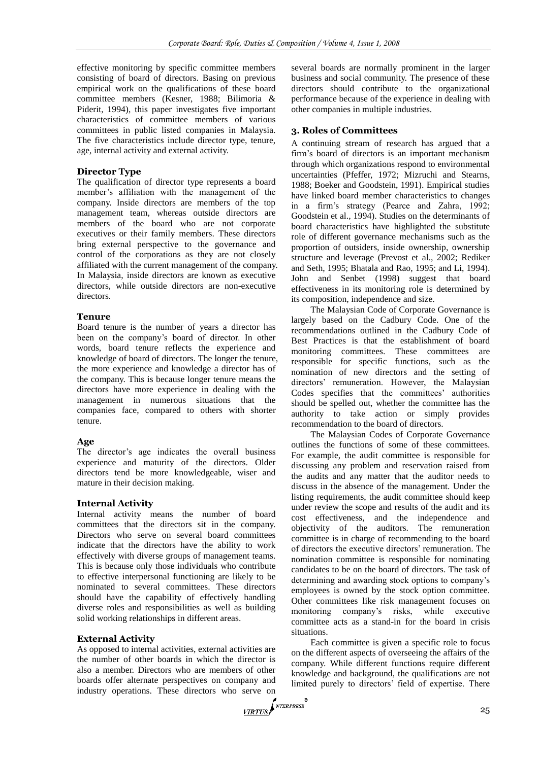effective monitoring by specific committee members consisting of board of directors. Basing on previous empirical work on the qualifications of these board committee members (Kesner, 1988; Bilimoria & Piderit, 1994), this paper investigates five important characteristics of committee members of various committees in public listed companies in Malaysia. The five characteristics include director type, tenure, age, internal activity and external activity.

## **Director Type**

The qualification of director type represents a board member's affiliation with the management of the company. Inside directors are members of the top management team, whereas outside directors are members of the board who are not corporate executives or their family members. These directors bring external perspective to the governance and control of the corporations as they are not closely affiliated with the current management of the company. In Malaysia, inside directors are known as executive directors, while outside directors are non-executive directors.

## **Tenure**

Board tenure is the number of years a director has been on the company's board of director. In other words, board tenure reflects the experience and knowledge of board of directors. The longer the tenure, the more experience and knowledge a director has of the company. This is because longer tenure means the directors have more experience in dealing with the management in numerous situations that the companies face, compared to others with shorter tenure.

## **Age**

The director's age indicates the overall business experience and maturity of the directors. Older directors tend be more knowledgeable, wiser and mature in their decision making.

# **Internal Activity**

Internal activity means the number of board committees that the directors sit in the company. Directors who serve on several board committees indicate that the directors have the ability to work effectively with diverse groups of management teams. This is because only those individuals who contribute to effective interpersonal functioning are likely to be nominated to several committees. These directors should have the capability of effectively handling diverse roles and responsibilities as well as building solid working relationships in different areas.

# **External Activity**

As opposed to internal activities, external activities are the number of other boards in which the director is also a member. Directors who are members of other boards offer alternate perspectives on company and industry operations. These directors who serve on the server of the server of the server of the server of the server of the server of the server of the server of the server of the server of the server of the server of the

several boards are normally prominent in the larger business and social community. The presence of these directors should contribute to the organizational performance because of the experience in dealing with other companies in multiple industries.

# **3. Roles of Committees**

A continuing stream of research has argued that a firm's board of directors is an important mechanism through which organizations respond to environmental uncertainties (Pfeffer, 1972; Mizruchi and Stearns, 1988; Boeker and Goodstein, 1991). Empirical studies have linked board member characteristics to changes in a firm's strategy (Pearce and Zahra, 1992; Goodstein et al., 1994). Studies on the determinants of board characteristics have highlighted the substitute role of different governance mechanisms such as the proportion of outsiders, inside ownership, ownership structure and leverage (Prevost et al., 2002; Rediker and Seth, 1995; Bhatala and Rao, 1995; and Li, 1994). John and Senbet (1998) suggest that board effectiveness in its monitoring role is determined by its composition, independence and size.

The Malaysian Code of Corporate Governance is largely based on the Cadbury Code. One of the recommendations outlined in the Cadbury Code of Best Practices is that the establishment of board monitoring committees. These committees are responsible for specific functions, such as the nomination of new directors and the setting of directors' remuneration. However, the Malaysian Codes specifies that the committees' authorities should be spelled out, whether the committee has the authority to take action or simply provides recommendation to the board of directors.

The Malaysian Codes of Corporate Governance outlines the functions of some of these committees. For example, the audit committee is responsible for discussing any problem and reservation raised from the audits and any matter that the auditor needs to discuss in the absence of the management. Under the listing requirements, the audit committee should keep under review the scope and results of the audit and its cost effectiveness, and the independence and objectivity of the auditors. The remuneration committee is in charge of recommending to the board of directors the executive directors' remuneration. The nomination committee is responsible for nominating candidates to be on the board of directors. The task of determining and awarding stock options to company's employees is owned by the stock option committee. Other committees like risk management focuses on monitoring company's risks, while executive committee acts as a stand-in for the board in crisis situations.

Each committee is given a specific role to focus on the different aspects of overseeing the affairs of the company. While different functions require different knowledge and background, the qualifications are not limited purely to directors' field of expertise. There

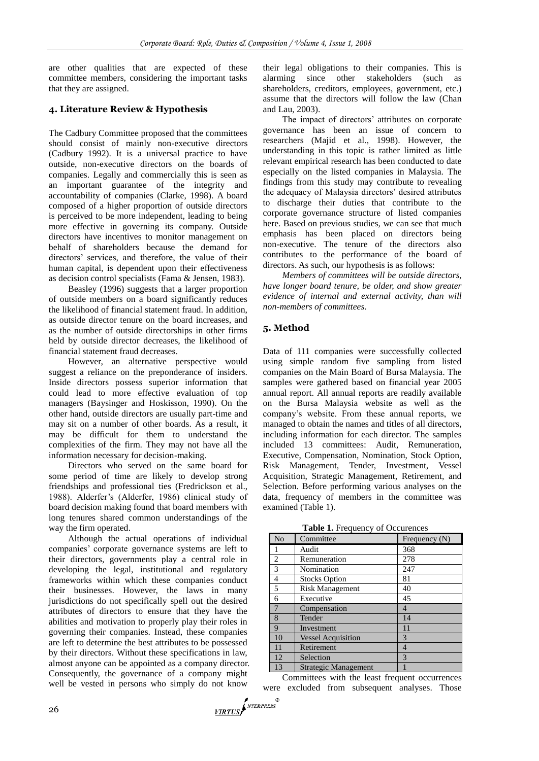are other qualities that are expected of these committee members, considering the important tasks that they are assigned.

# **4. Literature Review & Hypothesis**

The Cadbury Committee proposed that the committees should consist of mainly non-executive directors (Cadbury 1992). It is a universal practice to have outside, non-executive directors on the boards of companies. Legally and commercially this is seen as an important guarantee of the integrity and accountability of companies (Clarke, 1998). A board composed of a higher proportion of outside directors is perceived to be more independent, leading to being more effective in governing its company. Outside directors have incentives to monitor management on behalf of shareholders because the demand for directors' services, and therefore, the value of their human capital, is dependent upon their effectiveness as decision control specialists (Fama & Jensen, 1983).

Beasley (1996) suggests that a larger proportion of outside members on a board significantly reduces the likelihood of financial statement fraud. In addition, as outside director tenure on the board increases, and as the number of outside directorships in other firms held by outside director decreases, the likelihood of financial statement fraud decreases.

However, an alternative perspective would suggest a reliance on the preponderance of insiders. Inside directors possess superior information that could lead to more effective evaluation of top managers (Baysinger and Hoskisson, 1990). On the other hand, outside directors are usually part-time and may sit on a number of other boards. As a result, it may be difficult for them to understand the complexities of the firm. They may not have all the information necessary for decision-making.

Directors who served on the same board for some period of time are likely to develop strong friendships and professional ties (Fredrickson et al., 1988). Alderfer's (Alderfer, 1986) clinical study of board decision making found that board members with long tenures shared common understandings of the way the firm operated.

Although the actual operations of individual companies' corporate governance systems are left to their directors, governments play a central role in developing the legal, institutional and regulatory frameworks within which these companies conduct their businesses. However, the laws in many jurisdictions do not specifically spell out the desired attributes of directors to ensure that they have the abilities and motivation to properly play their roles in governing their companies. Instead, these companies are left to determine the best attributes to be possessed by their directors. Without these specifications in law, almost anyone can be appointed as a company director. Consequently, the governance of a company might well be vested in persons who simply do not know

their legal obligations to their companies. This is alarming since other stakeholders (such as shareholders, creditors, employees, government, etc.) assume that the directors will follow the law (Chan and Lau, 2003).

The impact of directors' attributes on corporate governance has been an issue of concern to researchers (Majid et al., 1998). However, the understanding in this topic is rather limited as little relevant empirical research has been conducted to date especially on the listed companies in Malaysia. The findings from this study may contribute to revealing the adequacy of Malaysia directors' desired attributes to discharge their duties that contribute to the corporate governance structure of listed companies here. Based on previous studies, we can see that much emphasis has been placed on directors being non-executive. The tenure of the directors also contributes to the performance of the board of directors. As such, our hypothesis is as follows:

*Members of committees will be outside directors, have longer board tenure, be older, and show greater evidence of internal and external activity, than will non-members of committees.*

# **5. Method**

Data of 111 companies were successfully collected using simple random five sampling from listed companies on the Main Board of Bursa Malaysia. The samples were gathered based on financial year 2005 annual report. All annual reports are readily available on the Bursa Malaysia website as well as the company's website. From these annual reports, we managed to obtain the names and titles of all directors, including information for each director. The samples included 13 committees: Audit, Remuneration, Executive, Compensation, Nomination, Stock Option, Risk Management, Tender, Investment, Vessel Acquisition, Strategic Management, Retirement, and Selection. Before performing various analyses on the data, frequency of members in the committee was examined (Table 1).

**Table 1.** Frequency of Occurences

| N <sub>o</sub> | Committee                   | Frequency $(N)$ |
|----------------|-----------------------------|-----------------|
|                | Audit                       | 368             |
| $\overline{c}$ | Remuneration                | 278             |
| 3              | Nomination                  | 247             |
| 4              | <b>Stocks Option</b>        | 81              |
| $\overline{5}$ | <b>Risk Management</b>      | 40              |
| 6              | Executive                   | 45              |
| 7              | Compensation                | 4               |
| 8              | Tender                      | 14              |
| 9              | Investment                  | 11              |
| 10             | <b>Vessel Acquisition</b>   | 3               |
| 11             | Retirement                  | $\overline{4}$  |
| 12             | Selection                   | 3               |
| 13             | <b>Strategic Management</b> |                 |

Committees with the least frequent occurrences were excluded from subsequent analyses. Those

VIRTUS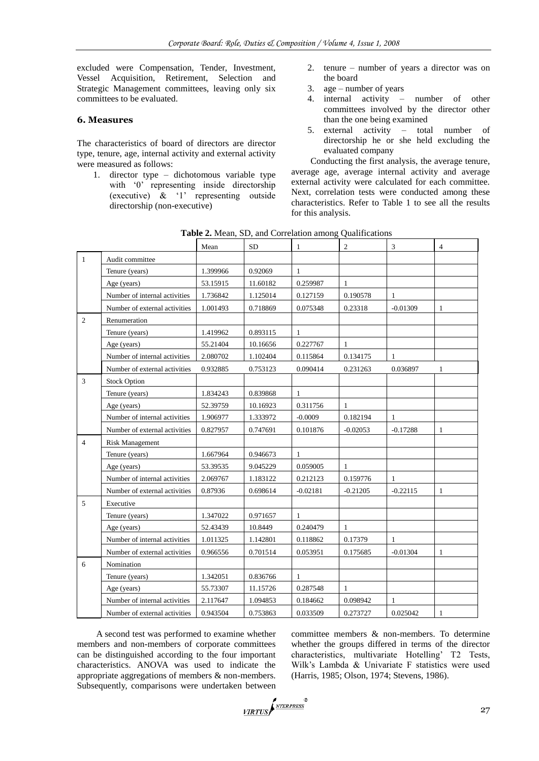excluded were Compensation, Tender, Investment, Vessel Acquisition, Retirement, Selection and Strategic Management committees, leaving only six committees to be evaluated.

#### **6. Measures**

The characteristics of board of directors are director type, tenure, age, internal activity and external activity were measured as follows:

1. director type – dichotomous variable type with '0' representing inside directorship (executive) & ‗1' representing outside directorship (non-executive)

- 2. tenure number of years a director was on the board
- 3. age number of years
- 4. internal activity number of other committees involved by the director other than the one being examined
- 5. external activity total number of directorship he or she held excluding the evaluated company

Conducting the first analysis, the average tenure, average age, average internal activity and average external activity were calculated for each committee. Next, correlation tests were conducted among these characteristics. Refer to Table 1 to see all the results for this analysis.

|                |                               | Mean     | <b>SD</b> | $\mathbf{1}$ | $\mathfrak{2}$ | $\mathfrak{Z}$ | $\overline{4}$ |
|----------------|-------------------------------|----------|-----------|--------------|----------------|----------------|----------------|
| $\overline{1}$ | Audit committee               |          |           |              |                |                |                |
|                | Tenure (years)                | 1.399966 | 0.92069   | $\mathbf{1}$ |                |                |                |
|                | Age (years)                   | 53.15915 | 11.60182  | 0.259987     | $\mathbf{1}$   |                |                |
|                | Number of internal activities | 1.736842 | 1.125014  | 0.127159     | 0.190578       | $\mathbf{1}$   |                |
|                | Number of external activities | 1.001493 | 0.718869  | 0.075348     | 0.23318        | $-0.01309$     | 1              |
| 2              | Renumeration                  |          |           |              |                |                |                |
|                | Tenure (years)                | 1.419962 | 0.893115  | $\mathbf{1}$ |                |                |                |
|                | Age (years)                   | 55.21404 | 10.16656  | 0.227767     | $\mathbf{1}$   |                |                |
|                | Number of internal activities | 2.080702 | 1.102404  | 0.115864     | 0.134175       | $\mathbf{1}$   |                |
|                | Number of external activities | 0.932885 | 0.753123  | 0.090414     | 0.231263       | 0.036897       | 1              |
| 3              | <b>Stock Option</b>           |          |           |              |                |                |                |
|                | Tenure (years)                | 1.834243 | 0.839868  | $\mathbf{1}$ |                |                |                |
|                | Age (years)                   | 52.39759 | 10.16923  | 0.311756     | $\mathbf{1}$   |                |                |
|                | Number of internal activities | 1.906977 | 1.333972  | $-0.0009$    | 0.182194       | $\mathbf{1}$   |                |
|                | Number of external activities | 0.827957 | 0.747691  | 0.101876     | $-0.02053$     | $-0.17288$     | $\mathbf{1}$   |
| $\overline{4}$ | <b>Risk Management</b>        |          |           |              |                |                |                |
|                | Tenure (years)                | 1.667964 | 0.946673  | $\mathbf{1}$ |                |                |                |
|                | Age (years)                   | 53.39535 | 9.045229  | 0.059005     | $\mathbf{1}$   |                |                |
|                | Number of internal activities | 2.069767 | 1.183122  | 0.212123     | 0.159776       | $\mathbf{1}$   |                |
|                | Number of external activities | 0.87936  | 0.698614  | $-0.02181$   | $-0.21205$     | $-0.22115$     | 1              |
| 5              | Executive                     |          |           |              |                |                |                |
|                | Tenure (years)                | 1.347022 | 0.971657  | $\mathbf{1}$ |                |                |                |
|                | Age (years)                   | 52.43439 | 10.8449   | 0.240479     | $\mathbf{1}$   |                |                |
|                | Number of internal activities | 1.011325 | 1.142801  | 0.118862     | 0.17379        | $\mathbf{1}$   |                |
|                | Number of external activities | 0.966556 | 0.701514  | 0.053951     | 0.175685       | $-0.01304$     | $\mathbf{1}$   |
| 6              | Nomination                    |          |           |              |                |                |                |
|                | Tenure (years)                | 1.342051 | 0.836766  | $\mathbf{1}$ |                |                |                |
|                | Age (years)                   | 55.73307 | 11.15726  | 0.287548     | $\mathbf{1}$   |                |                |
|                | Number of internal activities | 2.117647 | 1.094853  | 0.184662     | 0.098942       | 1              |                |
|                | Number of external activities | 0.943504 | 0.753863  | 0.033509     | 0.273727       | 0.025042       | 1              |

Table 2. Mean, SD, and Correlation among Qualifications

A second test was performed to examine whether members and non-members of corporate committees can be distinguished according to the four important characteristics. ANOVA was used to indicate the appropriate aggregations of members & non-members. Subsequently, comparisons were undertaken between committee members & non-members. To determine whether the groups differed in terms of the director characteristics, multivariate Hotelling' T2 Tests, Wilk's Lambda & Univariate F statistics were used (Harris, 1985; Olson, 1974; Stevens, 1986).

VIRTUS NEERPRESS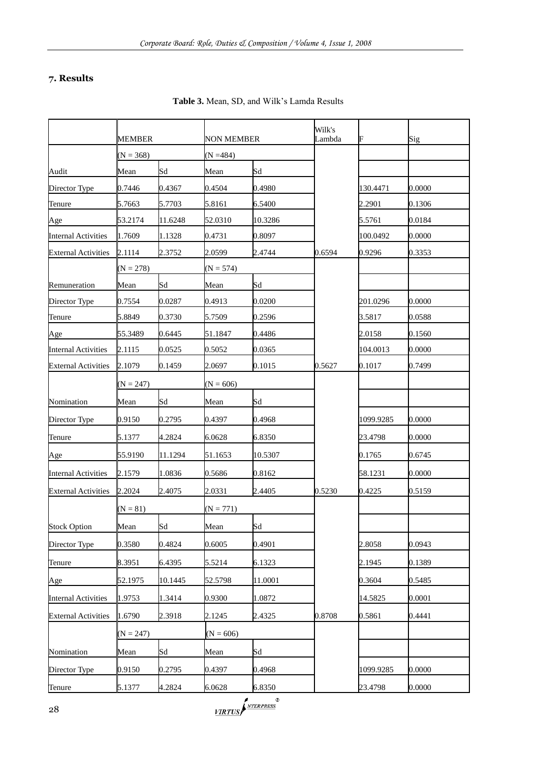# **7. Results**

|                            | MEMBER      |         | NON MEMBER  |         | Wilk's<br>Lambda | F         | Sig    |
|----------------------------|-------------|---------|-------------|---------|------------------|-----------|--------|
|                            | $(N = 368)$ |         | $(N = 484)$ |         |                  |           |        |
| Audit                      | Mean        | Sd      | Mean        | Sd      |                  |           |        |
| Director Type              | 0.7446      | 0.4367  | 0.4504      | 0.4980  |                  | 130.4471  | 0.0000 |
| Tenure                     | 5.7663      | 5.7703  | 5.8161      | 6.5400  |                  | 2.2901    | 0.1306 |
| Age                        | 53.2174     | 11.6248 | 52.0310     | 10.3286 |                  | 5.5761    | 0.0184 |
| <b>Internal Activities</b> | 1.7609      | 1.1328  | 0.4731      | 0.8097  |                  | 100.0492  | 0.0000 |
| <b>External Activities</b> | 2.1114      | 2.3752  | 2.0599      | 2.4744  | 0.6594           | 0.9296    | 0.3353 |
|                            | $(N = 278)$ |         | $(N = 574)$ |         |                  |           |        |
| Remuneration               | Mean        | Sd      | Mean        | Sd      |                  |           |        |
| Director Type              | 0.7554      | 0.0287  | 0.4913      | 0.0200  |                  | 201.0296  | 0.0000 |
| Tenure                     | 5.8849      | 0.3730  | 5.7509      | 0.2596  |                  | 3.5817    | 0.0588 |
| Age                        | 55.3489     | 0.6445  | 51.1847     | 0.4486  |                  | 2.0158    | 0.1560 |
| <b>Internal Activities</b> | 2.1115      | 0.0525  | 0.5052      | 0.0365  |                  | 104.0013  | 0.0000 |
| <b>External Activities</b> | 2.1079      | 0.1459  | 2.0697      | 0.1015  | 0.5627           | 0.1017    | 0.7499 |
|                            | $(N = 247)$ |         | $(N = 606)$ |         |                  |           |        |
| Nomination                 | Mean        | Sd      | Mean        | Sd      |                  |           |        |
| Director Type              | 0.9150      | 0.2795  | 0.4397      | 0.4968  |                  | 1099.9285 | 0.0000 |
| Tenure                     | 5.1377      | 4.2824  | 6.0628      | 6.8350  |                  | 23.4798   | 0.0000 |
| Age                        | 55.9190     | 11.1294 | 51.1653     | 10.5307 |                  | 0.1765    | 0.6745 |
| <b>Internal Activities</b> | 2.1579      | 1.0836  | 0.5686      | 0.8162  |                  | 58.1231   | 0.0000 |
| <b>External Activities</b> | 2.2024      | 2.4075  | 2.0331      | 2.4405  | 0.5230           | 0.4225    | 0.5159 |
|                            | $(N = 81)$  |         | $(N = 771)$ |         |                  |           |        |
| <b>Stock Option</b>        | Mean        | Sd      | Mean        | Sd      |                  |           |        |
| Director Type              | 0.3580      | 0.4824  | 0.6005      | 0.4901  |                  | 2.8058    | 0.0943 |
| Tenure                     | 8.3951      | 6.4395  | 5.5214      | 6.1323  |                  | 2.1945    | 0.1389 |
| Age                        | 52.1975     | 10.1445 | 52.5798     | 11.0001 |                  | 0.3604    | 0.5485 |
| <b>Internal Activities</b> | 1.9753      | 1.3414  | 0.9300      | 1.0872  |                  | 14.5825   | 0.0001 |
| <b>External Activities</b> | 1.6790      | 2.3918  | 2.1245      | 2.4325  | 0.8708           | 0.5861    | 0.4441 |
|                            | $(N = 247)$ |         | $(N = 606)$ |         |                  |           |        |
| Nomination                 | Mean        | Sd      | Mean        | Sd      |                  |           |        |
| Director Type              | 0.9150      | 0.2795  | 0.4397      | 0.4968  |                  | 1099.9285 | 0.0000 |
| Tenure                     | 5.1377      | 4.2824  | 6.0628      | 6.8350  |                  | 23.4798   | 0.0000 |

**Table 3.** Mean, SD, and Wilk's Lamda Results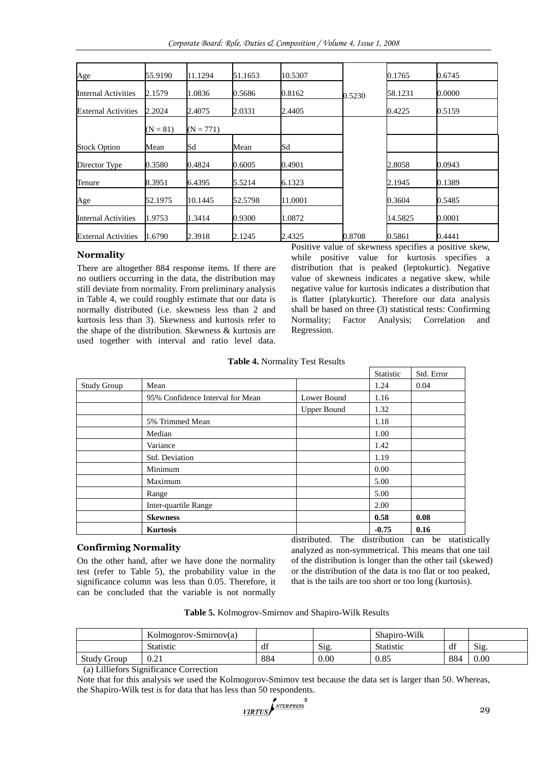| Age                        | 55.9190    | 11.1294     | 51.1653 | 10.5307 |        | 0.1765  | 0.6745 |
|----------------------------|------------|-------------|---------|---------|--------|---------|--------|
| Internal Activities        | 2.1579     | 1.0836      | 0.5686  | 0.8162  | 0.5230 | 58.1231 | 0.0000 |
| <b>External Activities</b> | 2.2024     | 2.4075      | 2.0331  | 2.4405  |        | 0.4225  | 0.5159 |
|                            | $(N = 81)$ | $(N = 771)$ |         |         |        |         |        |
| <b>Stock Option</b>        | Mean       | Sd          | Mean    | Sd      |        |         |        |
| Director Type              | 0.3580     | 0.4824      | 0.6005  | 0.4901  |        | 2.8058  | 0.0943 |
| Tenure                     | 8.3951     | 6.4395      | 5.5214  | 6.1323  |        | 2.1945  | 0.1389 |
| Age                        | 52.1975    | 10.1445     | 52.5798 | 11.0001 |        | 0.3604  | 0.5485 |
| Internal Activities        | 1.9753     | 1.3414      | 0.9300  | 1.0872  |        | 14.5825 | 0.0001 |
| <b>External Activities</b> | 1.6790     | 2.3918      | 2.1245  | 2.4325  | 0.8708 | 0.5861  | 0.4441 |

# **Normality**

There are altogether 884 response items. If there are no outliers occurring in the data, the distribution may still deviate from normality. From preliminary analysis in Table 4, we could roughly estimate that our data is normally distributed (i.e. skewness less than 2 and kurtosis less than 3). Skewness and kurtosis refer to the shape of the distribution. Skewness & kurtosis are used together with interval and ratio level data.

Positive value of skewness specifies a positive skew, while positive value for kurtosis specifies a distribution that is peaked (leptokurtic). Negative value of skewness indicates a negative skew, while negative value for kurtosis indicates a distribution that is flatter (platykurtic). Therefore our data analysis shall be based on three (3) statistical tests: Confirming Normality; Factor Analysis; Correlation and Regression.

**Table 4.** Normality Test Results

|                    |                                  |                    | Statistic | Std. Error |
|--------------------|----------------------------------|--------------------|-----------|------------|
| <b>Study Group</b> | Mean                             |                    | 1.24      | 0.04       |
|                    | 95% Confidence Interval for Mean | Lower Bound        | 1.16      |            |
|                    |                                  | <b>Upper Bound</b> | 1.32      |            |
|                    | 5% Trimmed Mean                  |                    | 1.18      |            |
|                    | Median                           |                    | 1.00      |            |
|                    | Variance                         |                    | 1.42      |            |
|                    | Std. Deviation                   |                    | 1.19      |            |
|                    | Minimum                          |                    | 0.00      |            |
|                    | Maximum                          |                    | 5.00      |            |
|                    | Range                            |                    | 5.00      |            |
|                    | Inter-quartile Range             |                    | 2.00      |            |
|                    | <b>Skewness</b>                  |                    | 0.58      | 0.08       |
|                    | <b>Kurtosis</b>                  |                    | $-0.75$   | 0.16       |

## **Confirming Normality**

On the other hand, after we have done the normality test (refer to Table 5), the probability value in the significance column was less than 0.05. Therefore, it can be concluded that the variable is not normally

distributed. The distribution can be statistically analyzed as non-symmetrical. This means that one tail of the distribution is longer than the other tail (skewed) or the distribution of the data is too flat or too peaked, that is the tails are too short or too long (kurtosis).

**Table 5.** Kolmogrov-Smirnov and Shapiro-Wilk Results

|                    | Kolmogorov-Smirnov(a) |     |                          | Shapiro-Wilk |     |                |
|--------------------|-----------------------|-----|--------------------------|--------------|-----|----------------|
|                    | <b>Statistic</b>      | df  | $\sim$<br>$\mathrm{S1g}$ | Statistic    | df  | $\sim$<br>S12. |
| <b>Study Group</b> | 0.21                  | 884 | 0.00                     | 0.85         | 884 | 0.00           |

(a) Lilliefors Significance Correction

Note that for this analysis we used the Kolmogorov-Smimov test because the data set is larger than 50. Whereas, the Shapiro-Wilk test is for data that has less than 50 respondents.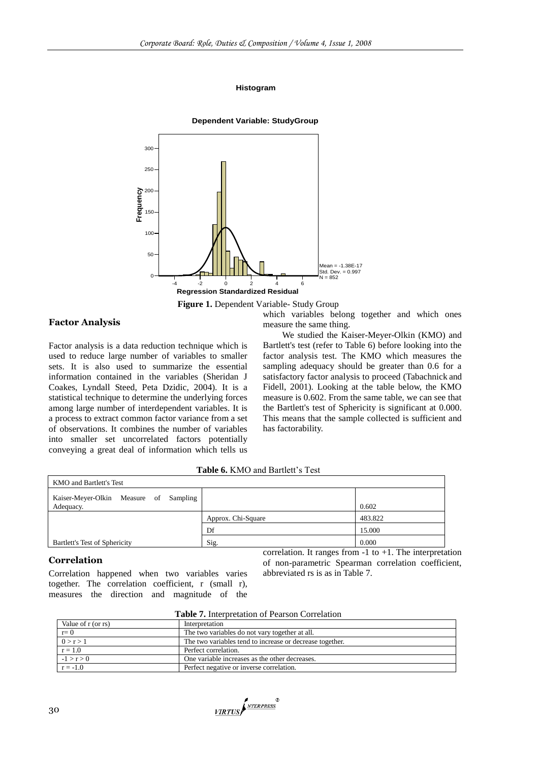#### **Histogram**



#### **Figure 1.** Dependent Variable- Study Group

## **Factor Analysis**

Factor analysis is a data reduction technique which is used to reduce large number of variables to smaller sets. It is also used to summarize the essential information contained in the variables (Sheridan J Coakes, Lyndall Steed, Peta Dzidic, 2004). It is a statistical technique to determine the underlying forces among large number of interdependent variables. It is a process to extract common factor variance from a set of observations. It combines the number of variables into smaller set uncorrelated factors potentially conveying a great deal of information which tells us

which variables belong together and which ones measure the same thing.

We studied the Kaiser-Meyer-Olkin (KMO) and Bartlett's test (refer to Table 6) before looking into the factor analysis test. The KMO which measures the sampling adequacy should be greater than 0.6 for a satisfactory factor analysis to proceed (Tabachnick and Fidell, 2001). Looking at the table below, the KMO measure is 0.602. From the same table, we can see that the Bartlett's test of Sphericity is significant at 0.000. This means that the sample collected is sufficient and has factorability.

#### **Table 6.** KMO and Bartlett's Test

| <b>KMO</b> and Bartlett's Test                      |                    |         |  |  |  |  |  |
|-----------------------------------------------------|--------------------|---------|--|--|--|--|--|
| Kaiser-Meyer-Olkin Measure of Sampling<br>Adequacy. |                    | 0.602   |  |  |  |  |  |
|                                                     | Approx. Chi-Square | 483.822 |  |  |  |  |  |
|                                                     | Df                 | 15.000  |  |  |  |  |  |
| Bartlett's Test of Sphericity                       | Sig.               | 0.000   |  |  |  |  |  |

#### **Correlation**

Correlation happened when two variables varies together. The correlation coefficient, r (small r), measures the direction and magnitude of the

correlation. It ranges from  $-1$  to  $+1$ . The interpretation of non-parametric Spearman correlation coefficient, abbreviated rs is as in Table 7.

**Table 7.** Interpretation of Pearson Correlation

| Value of r (or rs) | Interpretation                                           |  |  |  |  |  |
|--------------------|----------------------------------------------------------|--|--|--|--|--|
| $r=0$              | The two variables do not vary together at all.           |  |  |  |  |  |
| 0 > r > 1          | The two variables tend to increase or decrease together. |  |  |  |  |  |
| $r = 1.0$          | Perfect correlation.                                     |  |  |  |  |  |
| $-1 > r > 0$       | One variable increases as the other decreases.           |  |  |  |  |  |
| $r = -1.0$         | Perfect negative or inverse correlation.                 |  |  |  |  |  |

VIRTUS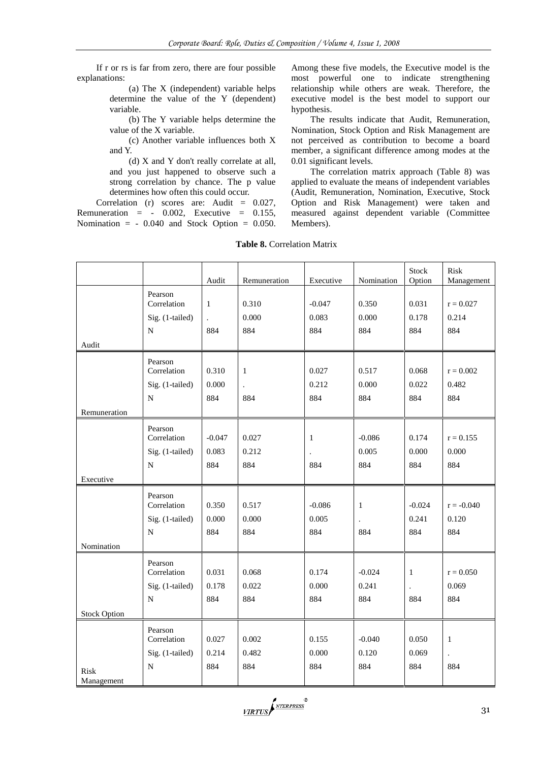If r or rs is far from zero, there are four possible explanations:

> (a) The X (independent) variable helps determine the value of the Y (dependent) variable.

> (b) The Y variable helps determine the value of the X variable.

> (c) Another variable influences both X and Y.

> (d) X and Y don't really correlate at all, and you just happened to observe such a strong correlation by chance. The p value determines how often this could occur.

Correlation (r) scores are: Audit = 0.027, Remuneration  $= -0.002$ , Executive  $= 0.155$ , Nomination  $=$  - 0.040 and Stock Option  $=$  0.050. Among these five models, the Executive model is the most powerful one to indicate strengthening relationship while others are weak. Therefore, the executive model is the best model to support our hypothesis.

The results indicate that Audit, Remuneration, Nomination, Stock Option and Risk Management are not perceived as contribution to become a board member, a significant difference among modes at the 0.01 significant levels.

The correlation matrix approach (Table 8) was applied to evaluate the means of independent variables (Audit, Remuneration, Nomination, Executive, Stock Option and Risk Management) were taken and measured against dependent variable (Committee Members).

|                     |                        |                      |                      |                      |              | Stock                | Risk                 |
|---------------------|------------------------|----------------------|----------------------|----------------------|--------------|----------------------|----------------------|
|                     |                        | Audit                | Remuneration         | Executive            | Nomination   | Option               | Management           |
|                     | Pearson                |                      |                      |                      |              |                      |                      |
|                     | Correlation            | $\mathbf{1}$         | 0.310                | $-0.047$             | 0.350        | 0.031                | $r = 0.027$          |
|                     | Sig. (1-tailed)        | $\ddot{\phantom{0}}$ | 0.000                | 0.083                | 0.000        | 0.178                | 0.214                |
|                     | ${\bf N}$              | 884                  | 884                  | 884                  | 884          | 884                  | 884                  |
| Audit               |                        |                      |                      |                      |              |                      |                      |
|                     |                        |                      |                      |                      |              |                      |                      |
|                     | Pearson<br>Correlation | 0.310                | $\mathbf{1}$         | 0.027                | 0.517        | 0.068                | $r = 0.002$          |
|                     |                        |                      |                      |                      |              |                      |                      |
|                     | Sig. (1-tailed)        | 0.000                | $\ddot{\phantom{a}}$ | 0.212                | 0.000        | 0.022                | 0.482                |
|                     | $\mathbf N$            | 884                  | 884                  | 884                  | 884          | 884                  | 884                  |
| Remuneration        |                        |                      |                      |                      |              |                      |                      |
|                     | Pearson                |                      |                      |                      |              |                      |                      |
|                     | Correlation            | $-0.047$             | 0.027                | $\mathbf{1}$         | $-0.086$     | 0.174                | $r = 0.155$          |
|                     | Sig. (1-tailed)        | 0.083                | 0.212                | $\ddot{\phantom{0}}$ | 0.005        | 0.000                | 0.000                |
|                     | ${\bf N}$              | 884                  | 884                  | 884                  | 884          | 884                  | 884                  |
| Executive           |                        |                      |                      |                      |              |                      |                      |
|                     |                        |                      |                      |                      |              |                      |                      |
|                     | Pearson                |                      |                      |                      |              |                      |                      |
|                     | Correlation            | 0.350                | 0.517                | $-0.086$             | $\mathbf{1}$ | $-0.024$             | $r = -0.040$         |
|                     | Sig. (1-tailed)        | $0.000\,$            | 0.000                | 0.005                |              | 0.241                | 0.120                |
|                     | N                      | 884                  | 884                  | 884                  | 884          | 884                  | 884                  |
| Nomination          |                        |                      |                      |                      |              |                      |                      |
|                     | Pearson                |                      |                      |                      |              |                      |                      |
|                     | Correlation            | 0.031                | 0.068                | 0.174                | $-0.024$     | 1                    | $r = 0.050$          |
|                     | Sig. (1-tailed)        | 0.178                | 0.022                | 0.000                | 0.241        | $\ddot{\phantom{a}}$ | 0.069                |
|                     | ${\bf N}$              | 884                  | 884                  | 884                  | 884          | 884                  | 884                  |
|                     |                        |                      |                      |                      |              |                      |                      |
| <b>Stock Option</b> |                        |                      |                      |                      |              |                      |                      |
|                     | Pearson                |                      |                      |                      |              |                      |                      |
|                     | Correlation            | 0.027                | 0.002                | 0.155                | $-0.040$     | 0.050                | $\mathbf{1}$         |
|                     | Sig. (1-tailed)        | 0.214                | 0.482                | 0.000                | 0.120        | 0.069                | $\ddot{\phantom{a}}$ |
| Risk                | ${\bf N}$              | 884                  | 884                  | 884                  | 884          | 884                  | 884                  |
| Management          |                        |                      |                      |                      |              |                      |                      |
|                     |                        |                      |                      |                      |              |                      |                      |

**Table 8.** Correlation Matrix

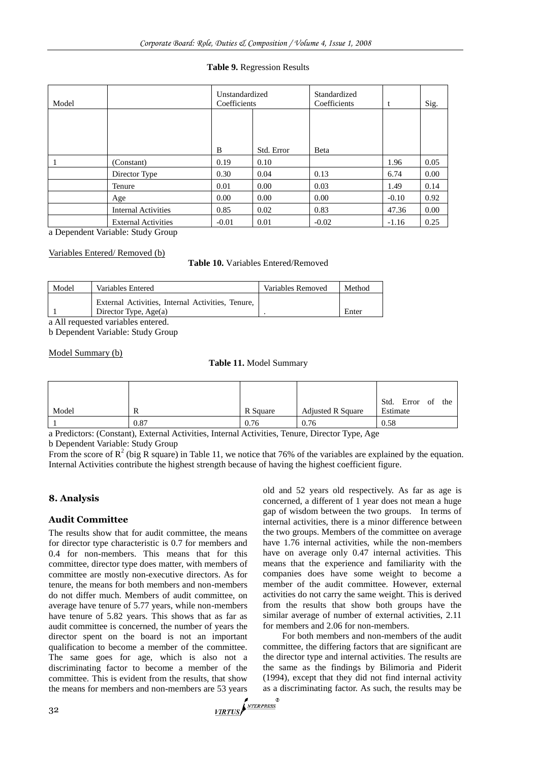#### **Table 9.** Regression Results

| Model |                            | Unstandardized<br>Coefficients |            | Standardized<br>Coefficients | t       | Sig.     |
|-------|----------------------------|--------------------------------|------------|------------------------------|---------|----------|
|       |                            |                                |            |                              |         |          |
|       |                            | B                              | Std. Error | Beta                         |         |          |
|       |                            |                                |            |                              |         |          |
|       | (Constant)                 | 0.19                           | 0.10       |                              | 1.96    | 0.05     |
|       | Director Type              | 0.30                           | 0.04       | 0.13                         | 6.74    | $0.00\,$ |
|       | Tenure                     | 0.01                           | 0.00       | 0.03                         | 1.49    | 0.14     |
|       | Age                        | 0.00                           | 0.00       | 0.00                         | $-0.10$ | 0.92     |
|       | <b>Internal Activities</b> | 0.85                           | 0.02       | 0.83                         | 47.36   | 0.00     |
|       | <b>External Activities</b> | $-0.01$                        | 0.01       | $-0.02$                      | $-1.16$ | 0.25     |

a Dependent Variable: Study Group

#### Variables Entered/ Removed (b)

**Table 10.** Variables Entered/Removed

| External Activities, Internal Activities, Tenure, | Model | Variables Entered | Variables Removed | Method |
|---------------------------------------------------|-------|-------------------|-------------------|--------|
|                                                   |       |                   |                   |        |
| Enter<br>Director Type, $Age(a)$                  |       |                   |                   |        |

a All requested variables entered.

b Dependent Variable: Study Group

#### Model Summary (b)

#### **Table 11.** Model Summary

| Model | R    | R Square | <b>Adjusted R Square</b> | Std.<br>Error<br>of<br>the<br>Estimate |
|-------|------|----------|--------------------------|----------------------------------------|
|       | 0.87 | 0.76     | 0.76                     | 0.58                                   |

a Predictors: (Constant), External Activities, Internal Activities, Tenure, Director Type, Age

b Dependent Variable: Study Group

From the score of  $R^2$  (big R square) in Table 11, we notice that 76% of the variables are explained by the equation. Internal Activities contribute the highest strength because of having the highest coefficient figure.

## **8. Analysis**

## **Audit Committee**

The results show that for audit committee, the means for director type characteristic is 0.7 for members and 0.4 for non-members. This means that for this committee, director type does matter, with members of committee are mostly non-executive directors. As for tenure, the means for both members and non-members do not differ much. Members of audit committee, on average have tenure of 5.77 years, while non-members have tenure of 5.82 years. This shows that as far as audit committee is concerned, the number of years the director spent on the board is not an important qualification to become a member of the committee. The same goes for age, which is also not a discriminating factor to become a member of the committee. This is evident from the results, that show the means for members and non-members are 53 years

old and 52 years old respectively. As far as age is concerned, a different of 1 year does not mean a huge gap of wisdom between the two groups. In terms of internal activities, there is a minor difference between the two groups. Members of the committee on average have 1.76 internal activities, while the non-members have on average only 0.47 internal activities. This means that the experience and familiarity with the companies does have some weight to become a member of the audit committee. However, external activities do not carry the same weight. This is derived from the results that show both groups have the similar average of number of external activities, 2.11 for members and 2.06 for non-members.

For both members and non-members of the audit committee, the differing factors that are significant are the director type and internal activities. The results are the same as the findings by Bilimoria and Piderit (1994), except that they did not find internal activity as a discriminating factor. As such, the results may be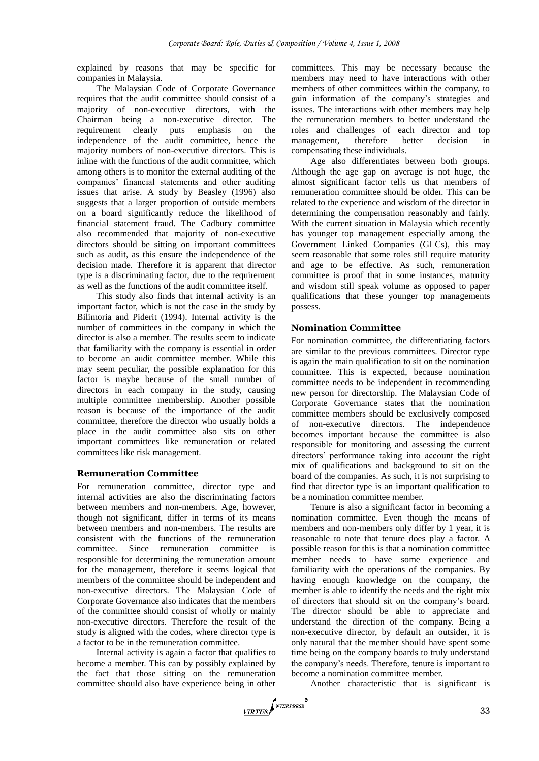explained by reasons that may be specific for companies in Malaysia.

The Malaysian Code of Corporate Governance requires that the audit committee should consist of a majority of non-executive directors, with the Chairman being a non-executive director. The requirement clearly puts emphasis on the independence of the audit committee, hence the majority numbers of non-executive directors. This is inline with the functions of the audit committee, which among others is to monitor the external auditing of the companies' financial statements and other auditing issues that arise. A study by Beasley (1996) also suggests that a larger proportion of outside members on a board significantly reduce the likelihood of financial statement fraud. The Cadbury committee also recommended that majority of non-executive directors should be sitting on important committees such as audit, as this ensure the independence of the decision made. Therefore it is apparent that director type is a discriminating factor, due to the requirement as well as the functions of the audit committee itself.

This study also finds that internal activity is an important factor, which is not the case in the study by Bilimoria and Piderit (1994). Internal activity is the number of committees in the company in which the director is also a member. The results seem to indicate that familiarity with the company is essential in order to become an audit committee member. While this may seem peculiar, the possible explanation for this factor is maybe because of the small number of directors in each company in the study, causing multiple committee membership. Another possible reason is because of the importance of the audit committee, therefore the director who usually holds a place in the audit committee also sits on other important committees like remuneration or related committees like risk management.

## **Remuneration Committee**

For remuneration committee, director type and internal activities are also the discriminating factors between members and non-members. Age, however, though not significant, differ in terms of its means between members and non-members. The results are consistent with the functions of the remuneration committee. Since remuneration committee is responsible for determining the remuneration amount for the management, therefore it seems logical that members of the committee should be independent and non-executive directors. The Malaysian Code of Corporate Governance also indicates that the members of the committee should consist of wholly or mainly non-executive directors. Therefore the result of the study is aligned with the codes, where director type is a factor to be in the remuneration committee.

Internal activity is again a factor that qualifies to become a member. This can by possibly explained by the fact that those sitting on the remuneration committee should also have experience being in other

committees. This may be necessary because the members may need to have interactions with other members of other committees within the company, to gain information of the company's strategies and issues. The interactions with other members may help the remuneration members to better understand the roles and challenges of each director and top management, therefore better decision in compensating these individuals.

Age also differentiates between both groups. Although the age gap on average is not huge, the almost significant factor tells us that members of remuneration committee should be older. This can be related to the experience and wisdom of the director in determining the compensation reasonably and fairly. With the current situation in Malaysia which recently has younger top management especially among the Government Linked Companies (GLCs), this may seem reasonable that some roles still require maturity and age to be effective. As such, remuneration committee is proof that in some instances, maturity and wisdom still speak volume as opposed to paper qualifications that these younger top managements possess.

## **Nomination Committee**

For nomination committee, the differentiating factors are similar to the previous committees. Director type is again the main qualification to sit on the nomination committee. This is expected, because nomination committee needs to be independent in recommending new person for directorship. The Malaysian Code of Corporate Governance states that the nomination committee members should be exclusively composed of non-executive directors. The independence becomes important because the committee is also responsible for monitoring and assessing the current directors' performance taking into account the right mix of qualifications and background to sit on the board of the companies. As such, it is not surprising to find that director type is an important qualification to be a nomination committee member.

Tenure is also a significant factor in becoming a nomination committee. Even though the means of members and non-members only differ by 1 year, it is reasonable to note that tenure does play a factor. A possible reason for this is that a nomination committee member needs to have some experience and familiarity with the operations of the companies. By having enough knowledge on the company, the member is able to identify the needs and the right mix of directors that should sit on the company's board. The director should be able to appreciate and understand the direction of the company. Being a non-executive director, by default an outsider, it is only natural that the member should have spent some time being on the company boards to truly understand the company's needs. Therefore, tenure is important to become a nomination committee member.

Another characteristic that is significant is

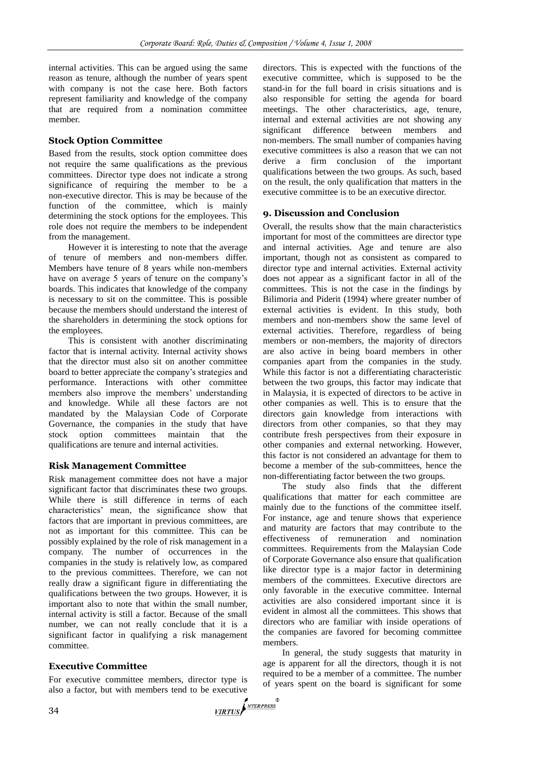internal activities. This can be argued using the same reason as tenure, although the number of years spent with company is not the case here. Both factors represent familiarity and knowledge of the company that are required from a nomination committee member.

# **Stock Option Committee**

Based from the results, stock option committee does not require the same qualifications as the previous committees. Director type does not indicate a strong significance of requiring the member to be a non-executive director. This is may be because of the function of the committee, which is mainly determining the stock options for the employees. This role does not require the members to be independent from the management.

However it is interesting to note that the average of tenure of members and non-members differ. Members have tenure of 8 years while non-members have on average 5 years of tenure on the company's boards. This indicates that knowledge of the company is necessary to sit on the committee. This is possible because the members should understand the interest of the shareholders in determining the stock options for the employees.

This is consistent with another discriminating factor that is internal activity. Internal activity shows that the director must also sit on another committee board to better appreciate the company's strategies and performance. Interactions with other committee members also improve the members' understanding and knowledge. While all these factors are not mandated by the Malaysian Code of Corporate Governance, the companies in the study that have stock option committees maintain that the qualifications are tenure and internal activities.

## **Risk Management Committee**

Risk management committee does not have a major significant factor that discriminates these two groups. While there is still difference in terms of each characteristics' mean, the significance show that factors that are important in previous committees, are not as important for this committee. This can be possibly explained by the role of risk management in a company. The number of occurrences in the companies in the study is relatively low, as compared to the previous committees. Therefore, we can not really draw a significant figure in differentiating the qualifications between the two groups. However, it is important also to note that within the small number, internal activity is still a factor. Because of the small number, we can not really conclude that it is a significant factor in qualifying a risk management committee.

# **Executive Committee**

For executive committee members, director type is also a factor, but with members tend to be executive  $\sqrt{\frac{NTERPRESS}{NTERPRESS}}$ 

directors. This is expected with the functions of the executive committee, which is supposed to be the stand-in for the full board in crisis situations and is also responsible for setting the agenda for board meetings. The other characteristics, age, tenure, internal and external activities are not showing any significant difference between members and non-members. The small number of companies having executive committees is also a reason that we can not derive a firm conclusion of the important qualifications between the two groups. As such, based on the result, the only qualification that matters in the executive committee is to be an executive director.

# **9. Discussion and Conclusion**

Overall, the results show that the main characteristics important for most of the committees are director type and internal activities. Age and tenure are also important, though not as consistent as compared to director type and internal activities. External activity does not appear as a significant factor in all of the committees. This is not the case in the findings by Bilimoria and Piderit (1994) where greater number of external activities is evident. In this study, both members and non-members show the same level of external activities. Therefore, regardless of being members or non-members, the majority of directors are also active in being board members in other companies apart from the companies in the study. While this factor is not a differentiating characteristic between the two groups, this factor may indicate that in Malaysia, it is expected of directors to be active in other companies as well. This is to ensure that the directors gain knowledge from interactions with directors from other companies, so that they may contribute fresh perspectives from their exposure in other companies and external networking. However, this factor is not considered an advantage for them to become a member of the sub-committees, hence the non-differentiating factor between the two groups.

The study also finds that the different qualifications that matter for each committee are mainly due to the functions of the committee itself. For instance, age and tenure shows that experience and maturity are factors that may contribute to the effectiveness of remuneration and nomination committees. Requirements from the Malaysian Code of Corporate Governance also ensure that qualification like director type is a major factor in determining members of the committees. Executive directors are only favorable in the executive committee. Internal activities are also considered important since it is evident in almost all the committees. This shows that directors who are familiar with inside operations of the companies are favored for becoming committee members.

In general, the study suggests that maturity in age is apparent for all the directors, though it is not required to be a member of a committee. The number of years spent on the board is significant for some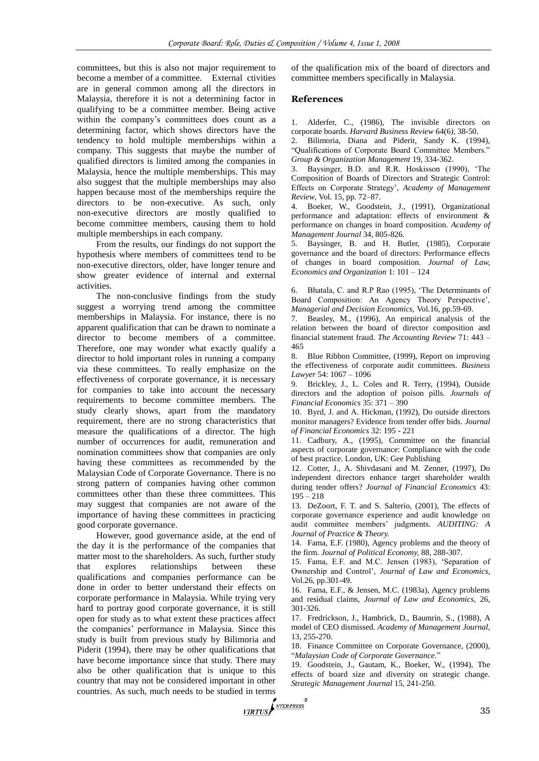committees, but this is also not major requirement to become a member of a committee. External ctivities are in general common among all the directors in Malaysia, therefore it is not a determining factor in qualifying to be a committee member. Being active within the company's committees does count as a determining factor, which shows directors have the tendency to hold multiple memberships within a company. This suggests that maybe the number of qualified directors is limited among the companies in Malaysia, hence the multiple memberships. This may also suggest that the multiple memberships may also happen because most of the memberships require the directors to be non-executive. As such, only non-executive directors are mostly qualified to become committee members, causing them to hold multiple memberships in each company.

From the results, our findings do not support the hypothesis where members of committees tend to be non-executive directors, older, have longer tenure and show greater evidence of internal and external activities.

The non-conclusive findings from the study suggest a worrying trend among the committee memberships in Malaysia. For instance, there is no apparent qualification that can be drawn to nominate a director to become members of a committee. Therefore, one may wonder what exactly qualify a director to hold important roles in running a company via these committees. To really emphasize on the effectiveness of corporate governance, it is necessary for companies to take into account the necessary requirements to become committee members. The study clearly shows, apart from the mandatory requirement, there are no strong characteristics that measure the qualifications of a director. The high number of occurrences for audit, remuneration and nomination committees show that companies are only having these committees as recommended by the Malaysian Code of Corporate Governance. There is no strong pattern of companies having other common committees other than these three committees. This may suggest that companies are not aware of the importance of having these committees in practicing good corporate governance.

However, good governance aside, at the end of the day it is the performance of the companies that matter most to the shareholders. As such, further study that explores relationships between these qualifications and companies performance can be done in order to better understand their effects on corporate performance in Malaysia. While trying very hard to portray good corporate governance, it is still open for study as to what extent these practices affect the companies' performance in Malaysia. Since this study is built from previous study by Bilimoria and Piderit (1994), there may be other qualifications that have become importance since that study. There may also be other qualification that is unique to this country that may not be considered important in other countries. As such, much needs to be studied in terms  $\sqrt{\frac{NTERPRES}{NTERPRESS}}$ 

of the qualification mix of the board of directors and committee members specifically in Malaysia.

#### **References**

1. Alderfer, C., (1986), The invisible directors on corporate boards. *Harvard Business Review* 64(6*)*, 38-50.

2. Bilimoria, Diana and Piderit, Sandy K. (1994), "Qualifications of Corporate Board Committee Members." *Group & Organization Management* 19, 334-362.

3. Baysinger, B.D. and R.R. Hoskisson (1990), 'The Composition of Boards of Directors and Strategic Control: Effects on Corporate Strategy', *Academy of Management Review*, Vol. 15, pp. 72–87.

Boeker, W., Goodstein, J., (1991), Organizational performance and adaptation: effects of environment & performance on changes in board composition. *Academy of Management Journal* 34, 805-826.

5. Baysinger, B. and H. Butler, (1985), Corporate governance and the board of directors: Performance effects of changes in board composition. *Journal of Law, Economics and Organization* 1: 101 – 124

6. Bhatala, C. and R.P Rao (1995), 'The Determinants of Board Composition: An Agency Theory Perspective', *Managerial and Decision Economics,* Vol.16, pp.59-69.

7. Beasley, M., (1996), An empirical analysis of the relation between the board of director composition and financial statement fraud. *The Accounting Review* 71: 443 – 465

8. Blue Ribbon Committee, (1999), Report on improving the effectiveness of corporate audit committees. *Business Lawyer* 54: 1067 – 1096

9. Brickley, J., L. Coles and R. Terry, (1994), Outside directors and the adoption of poison pills. *Journals of Financial Economics* 35: 371 – 390

10. Byrd, J. and A. Hickman, (1992), Do outside directors monitor managers? Evidence from tender offer bids. *Journal of Financial Economics* 32: 195 - 221

11. Cadbury, A., (1995), Committee on the financial aspects of corporate governance: Compliance with the code of best practice. London, UK: Gee Publishing

12. Cotter, J., A. Shivdasani and M. Zenner, (1997), Do independent directors enhance target shareholder wealth during tender offers? *Journal of Financial Economics* 43:  $195 - 218$ 

13. DeZoort, F. T. and S. Salterio, (2001), The effects of corporate governance experience and audit knowledge on audit committee members' judgments. *AUDITING: A Journal of Practice & Theory.*

14. Fama, E.F. (1980), Agency problems and the theory of the firm. *Journal of Political Economy,* 88, 288-307.

15. Fama, E.F. and M.C. Jensen (1983), 'Separation of Ownership and Control', *Journal of Law and Economics,*  Vol.26, pp.301-49.

16. Fama, E.F., & Jensen, M.C. (1983a), Agency problems and residual claims, *Journal of Law and Economics,* 26, 301-326.

17. Fredrickson, J., Hambrick, D., Baumrin, S., (1988), A model of CEO dismissed. *Academy of Management Journal,*  13, 255-270.

18. Finance Committee on Corporate Governance, (2000), ―*Malaysian Code of Corporate Governance*.‖

19. Goodstein, J., Gautam, K., Boeker, W., (1994), The effects of board size and diversity on strategic change. *Strategic Management Journal* 15, 241-250.